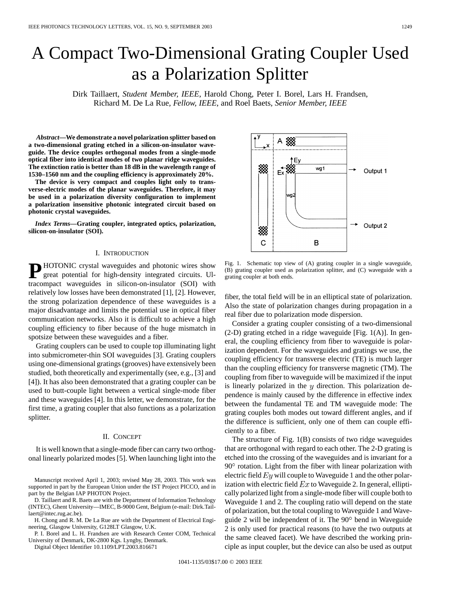# A Compact Two-Dimensional Grating Coupler Used as a Polarization Splitter

Dirk Taillaert*, Student Member, IEEE*, Harold Chong, Peter I. Borel, Lars H. Frandsen, Richard M. De La Rue*, Fellow, IEEE*, and Roel Baets*, Senior Member, IEEE*

*Abstract—***We demonstrate a novel polarization splitter based on a two-dimensional grating etched in a silicon-on-insulator waveguide. The device couples orthogonal modes from a single-mode optical fiber into identical modes of two planar ridge waveguides. The extinction ratio is better than 18 dB in the wavelength range of 1530–1560 nm and the coupling efficiency is approximately 20%.**

**The device is very compact and couples light only to transverse-electric modes of the planar waveguides. Therefore, it may be used in a polarization diversity configuration to implement a polarization insensitive photonic integrated circuit based on photonic crystal waveguides.**

*Index Terms—***Grating coupler, integrated optics, polarization, silicon-on-insulator (SOI).**

#### I. INTRODUCTION

**P** HOTONIC crystal waveguides and photonic wires show great potential for high-density integrated circuits. Ultracompact waveguides in silicon-on-insulator (SOI) with relatively low losses have been demonstrated [1], [2]. However, the strong polarization dependence of these waveguides is a major disadvantage and limits the potential use in optical fiber communication networks. Also it is difficult to achieve a high coupling efficiency to fiber because of the huge mismatch in spotsize between these waveguides and a fiber.

Grating couplers can be used to couple top illuminating light into submicrometer-thin SOI waveguides [3]. Grating couplers using one-dimensional gratings (grooves) have extensively been studied, both theoretically and experimentally (see, e.g., [3] and [4]). It has also been demonstrated that a grating coupler can be used to butt-couple light between a vertical single-mode fiber and these waveguides [4]. In this letter, we demonstrate, for the first time, a grating coupler that also functions as a polarization splitter.

#### II. CONCEPT

It is well known that a single-mode fiber can carry two orthogonal linearly polarized modes [5]. When launching light into the

Manuscript received April 1, 2003; revised May 28, 2003. This work was supported in part by the European Union under the IST Project PICCO, and in part by the Belgian IAP PHOTON Project.

D. Taillaert and R. Baets are with the Department of Information Technology (INTEC), Ghent University—IMEC, B-9000 Gent, Belgium (e-mail: Dirk.Taillaert@intec.rug.ac.be).

H. Chong and R. M. De La Rue are with the Department of Electrical Engineering, Glasgow University, G128LT Glasgow, U.K.

P. I. Borel and L. H. Frandsen are with Research Center COM, Technical University of Denmark, DK-2800 Kgs. Lyngby, Denmark.

Digital Object Identifier 10.1109/LPT.2003.816671



Fig. 1. Schematic top view of (A) grating coupler in a single waveguide, (B) grating coupler used as polarization splitter, and (C) waveguide with a grating coupler at both ends.

fiber, the total field will be in an elliptical state of polarization. Also the state of polarization changes during propagation in a real fiber due to polarization mode dispersion.

Consider a grating coupler consisting of a two-dimensional  $(2-D)$  grating etched in a ridge waveguide [Fig. 1(A)]. In general, the coupling efficiency from fiber to waveguide is polarization dependent. For the waveguides and gratings we use, the coupling efficiency for transverse electric (TE) is much larger than the coupling efficiency for transverse magnetic (TM). The coupling from fiber to waveguide will be maximized if the input is linearly polarized in the  $y$  direction. This polarization dependence is mainly caused by the difference in effective index between the fundamental TE and TM waveguide mode: The grating couples both modes out toward different angles, and if the difference is sufficient, only one of them can couple efficiently to a fiber.

The structure of Fig. 1(B) consists of two ridge waveguides that are orthogonal with regard to each other. The 2-D grating is etched into the crossing of the waveguides and is invariant for a  $90^\circ$  rotation. Light from the fiber with linear polarization with electric field  $Ey$  will couple to Waveguide 1 and the other polarization with electric field  $Ex$  to Waveguide 2. In general, elliptically polarized light from a single-mode fiber will couple both to Waveguide 1 and 2. The coupling ratio will depend on the state of polarization, but the total coupling to Waveguide 1 and Waveguide 2 will be independent of it. The  $90^\circ$  bend in Waveguide 2 is only used for practical reasons (to have the two outputs at the same cleaved facet). We have described the working principle as input coupler, but the device can also be used as output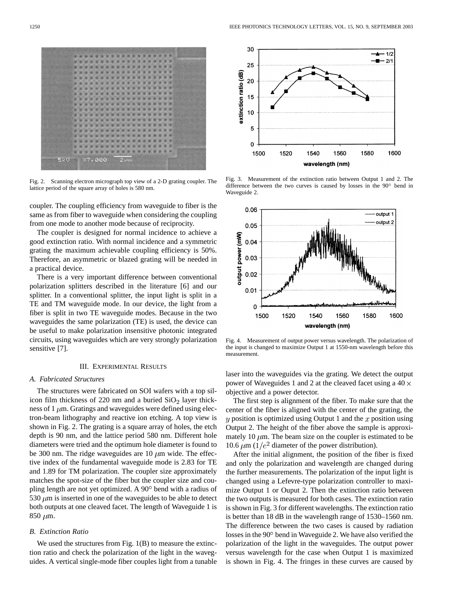

Fig. 2. Scanning electron micrograph top view of a 2-D grating coupler. The lattice period of the square array of holes is 580 nm.

coupler. The coupling efficiency from waveguide to fiber is the same as from fiber to waveguide when considering the coupling from one mode to another mode because of reciprocity.

The coupler is designed for normal incidence to achieve a good extinction ratio. With normal incidence and a symmetric grating the maximum achievable coupling efficiency is 50%. Therefore, an asymmetric or blazed grating will be needed in a practical device.

There is a very important difference between conventional polarization splitters described in the literature [6] and our splitter. In a conventional splitter, the input light is split in a TE and TM waveguide mode. In our device, the light from a fiber is split in two TE waveguide modes. Because in the two waveguides the same polarization (TE) is used, the device can be useful to make polarization insensitive photonic integrated circuits, using waveguides which are very strongly polarization sensitive [7].

### III. EXPERIMENTAL RESULTS

## *A. Fabricated Structures*

The structures were fabricated on SOI wafers with a top silicon film thickness of 220 nm and a buried  $SiO<sub>2</sub>$  layer thickness of 1  $\mu$ m. Gratings and waveguides were defined using electron-beam lithography and reactive ion etching. A top view is shown in Fig. 2. The grating is a square array of holes, the etch depth is 90 nm, and the lattice period 580 nm. Different hole diameters were tried and the optimum hole diameter is found to be 300 nm. The ridge waveguides are 10  $\mu$ m wide. The effective index of the fundamental waveguide mode is 2.83 for TE and 1.89 for TM polarization. The coupler size approximately matches the spot-size of the fiber but the coupler size and coupling length are not yet optimized. A  $90^\circ$  bend with a radius of 530  $\mu$ m is inserted in one of the waveguides to be able to detect both outputs at one cleaved facet. The length of Waveguide 1 is 850  $\mu$ m.

## *B. Extinction Ratio*

We used the structures from Fig. 1(B) to measure the extinction ratio and check the polarization of the light in the waveguides. A vertical single-mode fiber couples light from a tunable



Fig. 3. Measurement of the extinction ratio between Output 1 and 2. The difference between the two curves is caused by losses in the  $90^\circ$  bend in Waveguide 2.



Fig. 4. Measurement of output power versus wavelength. The polarization of the input is changed to maximize Output 1 at 1550-nm wavelength before this measurement.

laser into the waveguides via the grating. We detect the output power of Waveguides 1 and 2 at the cleaved facet using a  $40 \times$ objective and a power detector.

The first step is alignment of the fiber. To make sure that the center of the fiber is aligned with the center of the grating, the  $y$  position is optimized using Output 1 and the  $x$  position using Output 2. The height of the fiber above the sample is approximately 10  $\mu$ m. The beam size on the coupler is estimated to be 10.6  $\mu$ m ( $1/e^2$  diameter of the power distribution).

After the initial alignment, the position of the fiber is fixed and only the polarization and wavelength are changed during the further measurements. The polarization of the input light is changed using a Lefevre-type polarization controller to maximize Output 1 or Ouput 2. Then the extinction ratio between the two outputs is measured for both cases. The extinction ratio is shown in Fig. 3 for different wavelengths. The extinction ratio is better than 18 dB in the wavelength range of 1530–1560 nm. The difference between the two cases is caused by radiation losses in the  $90^{\circ}$  bend in Waveguide 2. We have also verified the polarization of the light in the waveguides. The output power versus wavelength for the case when Output 1 is maximized is shown in Fig. 4. The fringes in these curves are caused by